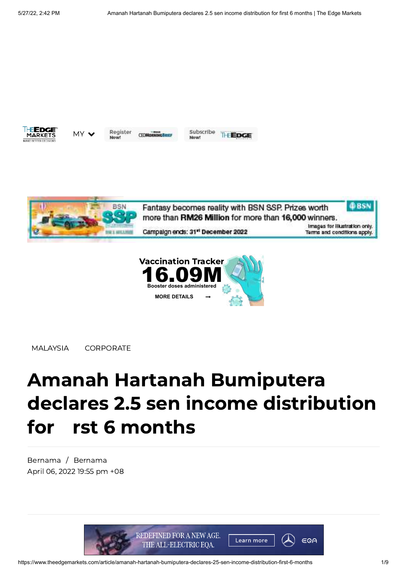

Register MY V

**CEOMORNING BR** 

Subscribe **THEDGE** Mount





[MALAYSIA](https://www.theedgemarkets.com/categories/malaysia) [CORPORATE](https://www.theedgemarkets.com/categories/corporate)

## Amanah Hartanah Bumiputera declares 2.5 sen income distribution for rst 6 months

[Bernama](https://www.theedgemarkets.com/author/Bernama) / [Bernama](https://www.theedgemarkets.com/source/Bernama) April 06, 2022 19:55 pm +08

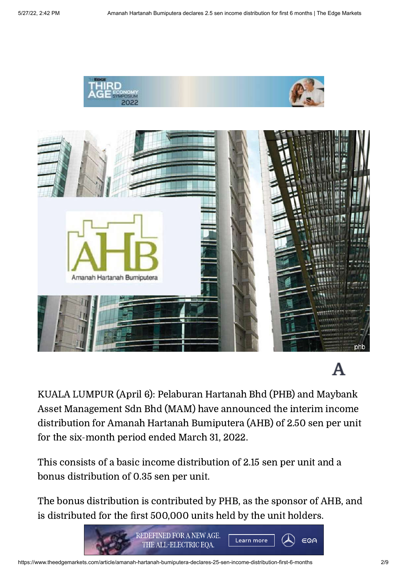



## A

KUALA LUMPUR (April 6): Pelaburan Hartanah Bhd (PHB) and Maybank Asset Management Sdn Bhd (MAM) have announced the interim income distribution for Amanah Hartanah Bumiputera (AHB) of 2.50 sen per unit for the six-month period ended March 31, 2022.

This consists of a basic income distribution of 2.15 sen per unit and a bonus distribution of 0.35 sen per unit.

The bonus distribution is contributed by PHB, as the sponsor of AHB, and is distributed for the first 500,000 units held by the unit holders.

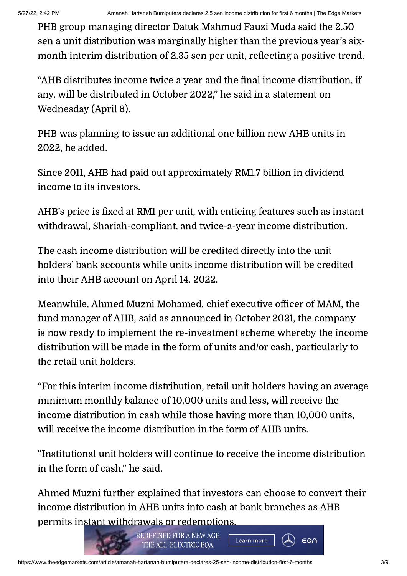PHB group managing director Datuk Mahmud Fauzi Muda said the 2.50 sen a unit distribution was marginally higher than the previous year's sixmonth interim distribution of 2.35 sen per unit, reflecting a positive trend.

"AHB distributes income twice a year and the final income distribution, if any, will be distributed in October 2022," he said in a statement on Wednesday (April 6).

PHB was planning to issue an additional one billion new AHB units in 2022, he added.

Since 2011, AHB had paid out approximately RM1.7 billion in dividend income to its investors.

AHB's price is fixed at RM1 per unit, with enticing features such as instant withdrawal, Shariah-compliant, and twice-a-year income distribution.

The cash income distribution will be credited directly into the unit holders' bank accounts while units income distribution will be credited into their AHB account on April 14, 2022.

Meanwhile, Ahmed Muzni Mohamed, chief executive officer of MAM, the fund manager of AHB, said as announced in October 2021, the company is now ready to implement the re-investment scheme whereby the income distribution will be made in the form of units and/or cash, particularly to the retail unit holders.

"For this interim income distribution, retail unit holders having an average minimum monthly balance of 10,000 units and less, will receive the income distribution in cash while those having more than 10,000 units, will receive the income distribution in the form of AHB units.

"Institutional unit holders will continue to receive the income distribution in the form of cash," he said.

Ahmed Muzni further explained that investors can choose to convert their income distribution in AHB units into cash at bank branches as AHB [permits instant withdrawals or redemptions.](https://adclick.g.doubleclick.net/pcs/click?xai=AKAOjsu6_ff2qS213_fWg292lEEB2iCutWGpE030YrCPdD9ItMb2tuD0fYSgXk4SilKQ1Oj24L711gikzTPTjBH2CbqeiIafQWYn5iT0s6B3ZxffP_gIaf1Zd-8wFP5OCPnjcC4P1oUfxIqTmagZcObifQI-amD0YLPSBhSfzAKo0ngijf8toApqjAUEatwsK6fbO40bSdXYri0zu26JZiiqc8KO_2HAhy31MwyENALSo8yDzaSMC4PXicucDfJMLUSuD4Fl-g1yuLJVcwcsF4Y0z68dFQOR7VmfHTbddLxKAGUlKTyhkRx9C_HZM3QS&sig=Cg0ArKJSzO4bwKtl5MsgEAE&fbs_aeid=[gw_fbsaeid]&urlfix=1&adurl=https://www.mercedes-benz.com.my/eq%3Futm_source%3Ddirect-io%26utm_medium%3Ddisplay%26utm_content%3DTheEdgeEQALaunch_ExpandableCatfish)



EQA